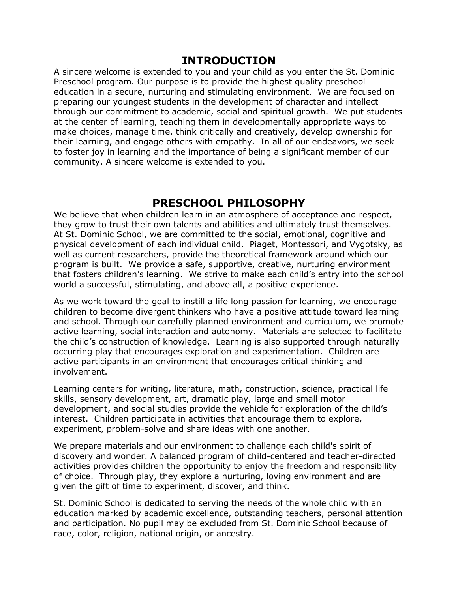### **INTRODUCTION**

A sincere welcome is extended to you and your child as you enter the St. Dominic Preschool program. Our purpose is to provide the highest quality preschool education in a secure, nurturing and stimulating environment. We are focused on preparing our youngest students in the development of character and intellect through our commitment to academic, social and spiritual growth. We put students at the center of learning, teaching them in developmentally appropriate ways to make choices, manage time, think critically and creatively, develop ownership for their learning, and engage others with empathy. In all of our endeavors, we seek to foster joy in learning and the importance of being a significant member of our community. A sincere welcome is extended to you.

## **PRESCHOOL PHILOSOPHY**

We believe that when children learn in an atmosphere of acceptance and respect, they grow to trust their own talents and abilities and ultimately trust themselves. At St. Dominic School, we are committed to the social, emotional, cognitive and physical development of each individual child. Piaget, Montessori, and Vygotsky, as well as current researchers, provide the theoretical framework around which our program is built. We provide a safe, supportive, creative, nurturing environment that fosters children's learning. We strive to make each child's entry into the school world a successful, stimulating, and above all, a positive experience.

As we work toward the goal to instill a life long passion for learning, we encourage children to become divergent thinkers who have a positive attitude toward learning and school. Through our carefully planned environment and curriculum, we promote active learning, social interaction and autonomy. Materials are selected to facilitate the child's construction of knowledge. Learning is also supported through naturally occurring play that encourages exploration and experimentation. Children are active participants in an environment that encourages critical thinking and involvement.

Learning centers for writing, literature, math, construction, science, practical life skills, sensory development, art, dramatic play, large and small motor development, and social studies provide the vehicle for exploration of the child's interest. Children participate in activities that encourage them to explore, experiment, problem-solve and share ideas with one another.

We prepare materials and our environment to challenge each child's spirit of discovery and wonder. A balanced program of child-centered and teacher-directed activities provides children the opportunity to enjoy the freedom and responsibility of choice. Through play, they explore a nurturing, loving environment and are given the gift of time to experiment, discover, and think.

St. Dominic School is dedicated to serving the needs of the whole child with an education marked by academic excellence, outstanding teachers, personal attention and participation. No pupil may be excluded from St. Dominic School because of race, color, religion, national origin, or ancestry.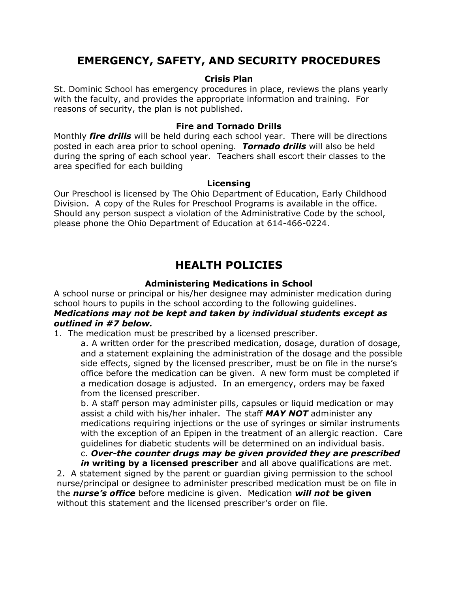## **EMERGENCY, SAFETY, AND SECURITY PROCEDURES**

#### **Crisis Plan**

St. Dominic School has emergency procedures in place, reviews the plans yearly with the faculty, and provides the appropriate information and training. For reasons of security, the plan is not published.

#### **Fire and Tornado Drills**

Monthly *fire drills* will be held during each school year. There will be directions posted in each area prior to school opening. *Tornado drills* will also be held during the spring of each school year. Teachers shall escort their classes to the area specified for each building

#### **Licensing**

Our Preschool is licensed by The Ohio Department of Education, Early Childhood Division. A copy of the Rules for Preschool Programs is available in the office. Should any person suspect a violation of the Administrative Code by the school, please phone the Ohio Department of Education at 614-466-0224.

## **HEALTH POLICIES**

#### **Administering Medications in School**

A school nurse or principal or his/her designee may administer medication during school hours to pupils in the school according to the following guidelines.

#### *Medications may not be kept and taken by individual students except as outlined in #7 below.*

1. The medication must be prescribed by a licensed prescriber.

a. A written order for the prescribed medication, dosage, duration of dosage, and a statement explaining the administration of the dosage and the possible side effects, signed by the licensed prescriber, must be on file in the nurse's office before the medication can be given. A new form must be completed if a medication dosage is adjusted. In an emergency, orders may be faxed from the licensed prescriber.

b. A staff person may administer pills, capsules or liquid medication or may assist a child with his/her inhaler. The staff *MAY NOT* administer any medications requiring injections or the use of syringes or similar instruments with the exception of an Epipen in the treatment of an allergic reaction. Care guidelines for diabetic students will be determined on an individual basis.

#### c. *Over-the counter drugs may be given provided they are prescribed in* **writing by a licensed prescriber** and all above qualifications are met.

2. A statement signed by the parent or guardian giving permission to the school nurse/principal or designee to administer prescribed medication must be on file in the *nurse's office* before medicine is given. Medication *will not* **be given** without this statement and the licensed prescriber's order on file.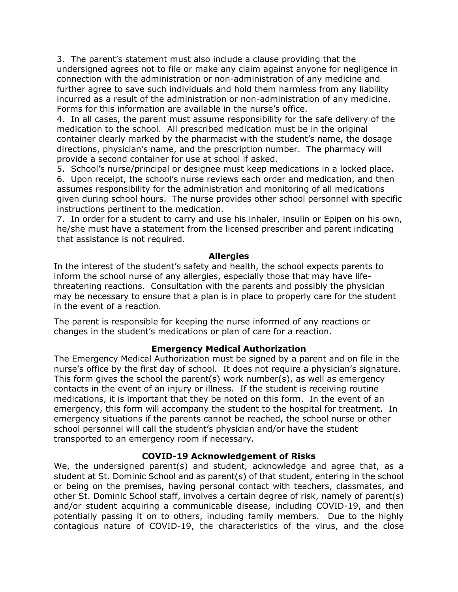3. The parent's statement must also include a clause providing that the undersigned agrees not to file or make any claim against anyone for negligence in connection with the administration or non-administration of any medicine and further agree to save such individuals and hold them harmless from any liability incurred as a result of the administration or non-administration of any medicine. Forms for this information are available in the nurse's office.

4. In all cases, the parent must assume responsibility for the safe delivery of the medication to the school. All prescribed medication must be in the original container clearly marked by the pharmacist with the student's name, the dosage directions, physician's name, and the prescription number. The pharmacy will provide a second container for use at school if asked.

5. School's nurse/principal or designee must keep medications in a locked place. 6. Upon receipt, the school's nurse reviews each order and medication, and then assumes responsibility for the administration and monitoring of all medications given during school hours. The nurse provides other school personnel with specific instructions pertinent to the medication.

7. In order for a student to carry and use his inhaler, insulin or Epipen on his own, he/she must have a statement from the licensed prescriber and parent indicating that assistance is not required.

#### **Allergies**

In the interest of the student's safety and health, the school expects parents to inform the school nurse of any allergies, especially those that may have lifethreatening reactions. Consultation with the parents and possibly the physician may be necessary to ensure that a plan is in place to properly care for the student in the event of a reaction.

The parent is responsible for keeping the nurse informed of any reactions or changes in the student's medications or plan of care for a reaction.

#### **Emergency Medical Authorization**

The Emergency Medical Authorization must be signed by a parent and on file in the nurse's office by the first day of school. It does not require a physician's signature. This form gives the school the parent(s) work number(s), as well as emergency contacts in the event of an injury or illness. If the student is receiving routine medications, it is important that they be noted on this form. In the event of an emergency, this form will accompany the student to the hospital for treatment. In emergency situations if the parents cannot be reached, the school nurse or other school personnel will call the student's physician and/or have the student transported to an emergency room if necessary.

#### **COVID-19 Acknowledgement of Risks**

We, the undersigned parent(s) and student, acknowledge and agree that, as a student at St. Dominic School and as parent(s) of that student, entering in the school or being on the premises, having personal contact with teachers, classmates, and other St. Dominic School staff, involves a certain degree of risk, namely of parent(s) and/or student acquiring a communicable disease, including COVID-19, and then potentially passing it on to others, including family members. Due to the highly contagious nature of COVID-19, the characteristics of the virus, and the close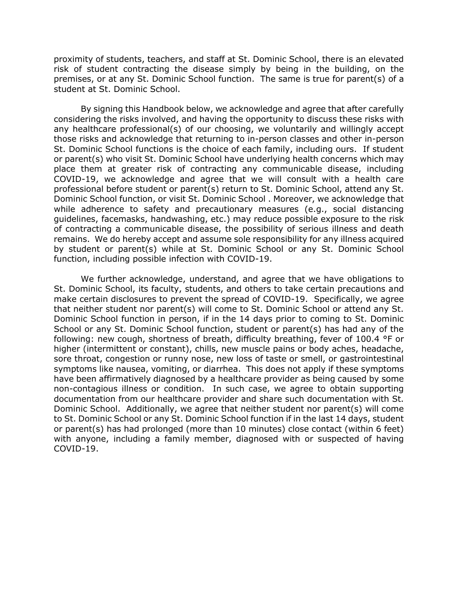proximity of students, teachers, and staff at St. Dominic School, there is an elevated risk of student contracting the disease simply by being in the building, on the premises, or at any St. Dominic School function. The same is true for parent(s) of a student at St. Dominic School.

By signing this Handbook below, we acknowledge and agree that after carefully considering the risks involved, and having the opportunity to discuss these risks with any healthcare professional(s) of our choosing, we voluntarily and willingly accept those risks and acknowledge that returning to in-person classes and other in-person St. Dominic School functions is the choice of each family, including ours. If student or parent(s) who visit St. Dominic School have underlying health concerns which may place them at greater risk of contracting any communicable disease, including COVID-19, we acknowledge and agree that we will consult with a health care professional before student or parent(s) return to St. Dominic School, attend any St. Dominic School function, or visit St. Dominic School . Moreover, we acknowledge that while adherence to safety and precautionary measures (e.g., social distancing guidelines, facemasks, handwashing, etc.) may reduce possible exposure to the risk of contracting a communicable disease, the possibility of serious illness and death remains. We do hereby accept and assume sole responsibility for any illness acquired by student or parent(s) while at St. Dominic School or any St. Dominic School function, including possible infection with COVID-19.

We further acknowledge, understand, and agree that we have obligations to St. Dominic School, its faculty, students, and others to take certain precautions and make certain disclosures to prevent the spread of COVID-19. Specifically, we agree that neither student nor parent(s) will come to St. Dominic School or attend any St. Dominic School function in person, if in the 14 days prior to coming to St. Dominic School or any St. Dominic School function, student or parent(s) has had any of the following: new cough, shortness of breath, difficulty breathing, fever of 100.4 °F or higher (intermittent or constant), chills, new muscle pains or body aches, headache, sore throat, congestion or runny nose, new loss of taste or smell, or gastrointestinal symptoms like nausea, vomiting, or diarrhea. This does not apply if these symptoms have been affirmatively diagnosed by a healthcare provider as being caused by some non-contagious illness or condition. In such case, we agree to obtain supporting documentation from our healthcare provider and share such documentation with St. Dominic School. Additionally, we agree that neither student nor parent(s) will come to St. Dominic School or any St. Dominic School function if in the last 14 days, student or parent(s) has had prolonged (more than 10 minutes) close contact (within 6 feet) with anyone, including a family member, diagnosed with or suspected of having COVID-19.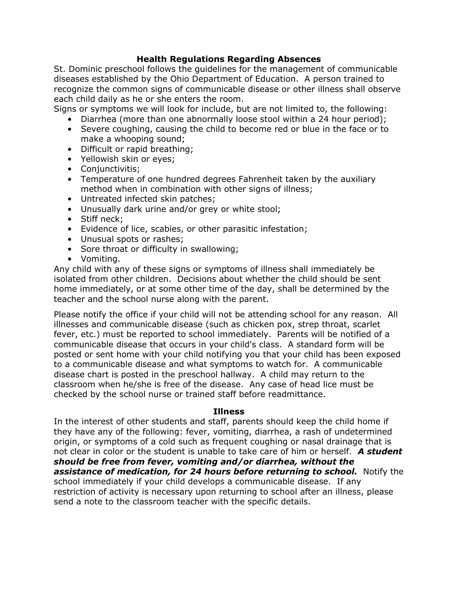#### **Health Regulations Regarding Absences**

St. Dominic preschool follows the guidelines for the management of communicable diseases established by the Ohio Department of Education. A person trained to recognize the common signs of communicable disease or other illness shall observe each child daily as he or she enters the room.

Signs or symptoms we will look for include, but are not limited to, the following:

- Diarrhea (more than one abnormally loose stool within a 24 hour period);
- Severe coughing, causing the child to become red or blue in the face or to make a whooping sound;
- Difficult or rapid breathing;
- Yellowish skin or eyes;
- Conjunctivitis;
- Temperature of one hundred degrees Fahrenheit taken by the auxiliary method when in combination with other signs of illness;
- Untreated infected skin patches;
- Unusually dark urine and/or grey or white stool;
- Stiff neck:
- Evidence of lice, scabies, or other parasitic infestation;
- Unusual spots or rashes;
- Sore throat or difficulty in swallowing;
- Vomiting.

Any child with any of these signs or symptoms of illness shall immediately be isolated from other children. Decisions about whether the child should be sent home immediately, or at some other time of the day, shall be determined by the teacher and the school nurse along with the parent.

Please notify the office if your child will not be attending school for any reason. All illnesses and communicable disease (such as chicken pox, strep throat, scarlet fever, etc.) must be reported to school immediately. Parents will be notified of a communicable disease that occurs in your child's class. A standard form will be posted or sent home with your child notifying you that your child has been exposed to a communicable disease and what symptoms to watch for. A communicable disease chart is posted in the preschool hallway. A child may return to the classroom when he/she is free of the disease. Any case of head lice must be checked by the school nurse or trained staff before readmittance.

#### **Illness**

In the interest of other students and staff, parents should keep the child home if they have any of the following: fever, vomiting, diarrhea, a rash of undetermined origin, or symptoms of a cold such as frequent coughing or nasal drainage that is not clear in color or the student is unable to take care of him or herself. *A student should be free from fever, vomiting and/or diarrhea, without the assistance of medication, for 24 hours before returning to school.* **Notify the** school immediately if your child develops a communicable disease. If any restriction of activity is necessary upon returning to school after an illness, please send a note to the classroom teacher with the specific details.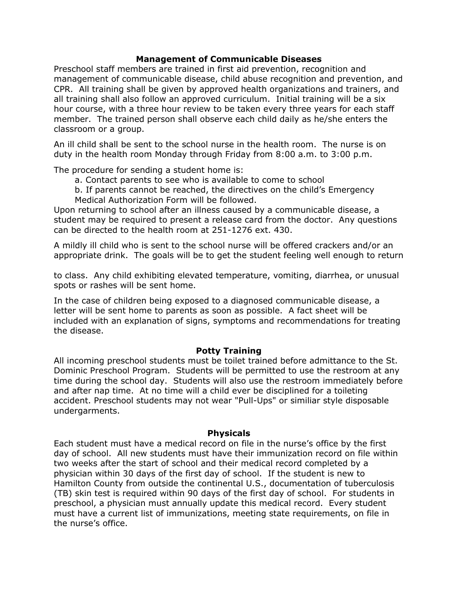#### **Management of Communicable Diseases**

Preschool staff members are trained in first aid prevention, recognition and management of communicable disease, child abuse recognition and prevention, and CPR. All training shall be given by approved health organizations and trainers, and all training shall also follow an approved curriculum. Initial training will be a six hour course, with a three hour review to be taken every three years for each staff member. The trained person shall observe each child daily as he/she enters the classroom or a group.

An ill child shall be sent to the school nurse in the health room. The nurse is on duty in the health room Monday through Friday from 8:00 a.m. to 3:00 p.m.

The procedure for sending a student home is:

- a. Contact parents to see who is available to come to school
- b. If parents cannot be reached, the directives on the child's Emergency Medical Authorization Form will be followed.

Upon returning to school after an illness caused by a communicable disease, a student may be required to present a release card from the doctor. Any questions can be directed to the health room at 251-1276 ext. 430.

A mildly ill child who is sent to the school nurse will be offered crackers and/or an appropriate drink. The goals will be to get the student feeling well enough to return

to class. Any child exhibiting elevated temperature, vomiting, diarrhea, or unusual spots or rashes will be sent home.

In the case of children being exposed to a diagnosed communicable disease, a letter will be sent home to parents as soon as possible. A fact sheet will be included with an explanation of signs, symptoms and recommendations for treating the disease.

#### **Potty Training**

All incoming preschool students must be toilet trained before admittance to the St. Dominic Preschool Program. Students will be permitted to use the restroom at any time during the school day. Students will also use the restroom immediately before and after nap time. At no time will a child ever be disciplined for a toileting accident. Preschool students may not wear "Pull-Ups" or similiar style disposable undergarments.

#### **Physicals**

Each student must have a medical record on file in the nurse's office by the first day of school. All new students must have their immunization record on file within two weeks after the start of school and their medical record completed by a physician within 30 days of the first day of school. If the student is new to Hamilton County from outside the continental U.S., documentation of tuberculosis (TB) skin test is required within 90 days of the first day of school. For students in preschool, a physician must annually update this medical record. Every student must have a current list of immunizations, meeting state requirements, on file in the nurse's office.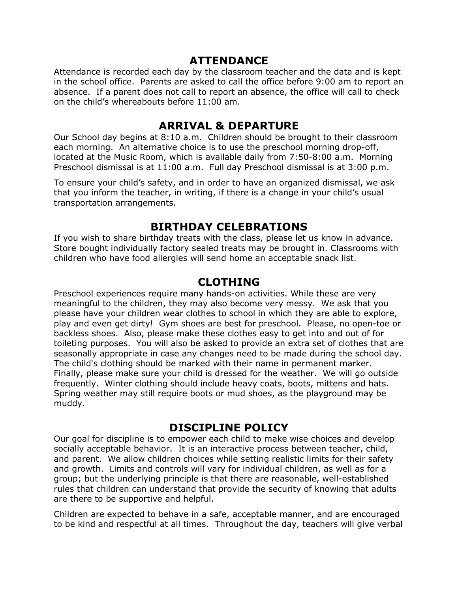## **ATTENDANCE**

Attendance is recorded each day by the classroom teacher and the data and is kept in the school office. Parents are asked to call the office before 9:00 am to report an absence. If a parent does not call to report an absence, the office will call to check on the child's whereabouts before 11:00 am.

## **ARRIVAL & DEPARTURE**

Our School day begins at 8:10 a.m. Children should be brought to their classroom each morning. An alternative choice is to use the preschool morning drop-off, located at the Music Room, which is available daily from 7:50-8:00 a.m. Morning Preschool dismissal is at 11:00 a.m. Full day Preschool dismissal is at 3:00 p.m.

To ensure your child's safety, and in order to have an organized dismissal, we ask that you inform the teacher, in writing, if there is a change in your child's usual transportation arrangements.

## **BIRTHDAY CELEBRATIONS**

If you wish to share birthday treats with the class, please let us know in advance. Store bought individually factory sealed treats may be brought in. Classrooms with children who have food allergies will send home an acceptable snack list.

## **CLOTHING**

Preschool experiences require many hands-on activities. While these are very meaningful to the children, they may also become very messy. We ask that you please have your children wear clothes to school in which they are able to explore, play and even get dirty! Gym shoes are best for preschool. Please, no open-toe or backless shoes. Also, please make these clothes easy to get into and out of for toileting purposes. You will also be asked to provide an extra set of clothes that are seasonally appropriate in case any changes need to be made during the school day. The child's clothing should be marked with their name in permanent marker. Finally, please make sure your child is dressed for the weather. We will go outside frequently. Winter clothing should include heavy coats, boots, mittens and hats. Spring weather may still require boots or mud shoes, as the playground may be muddy.

## **DISCIPLINE POLICY**

Our goal for discipline is to empower each child to make wise choices and develop socially acceptable behavior. It is an interactive process between teacher, child, and parent. We allow children choices while setting realistic limits for their safety and growth. Limits and controls will vary for individual children, as well as for a group; but the underlying principle is that there are reasonable, well-established rules that children can understand that provide the security of knowing that adults are there to be supportive and helpful.

Children are expected to behave in a safe, acceptable manner, and are encouraged to be kind and respectful at all times. Throughout the day, teachers will give verbal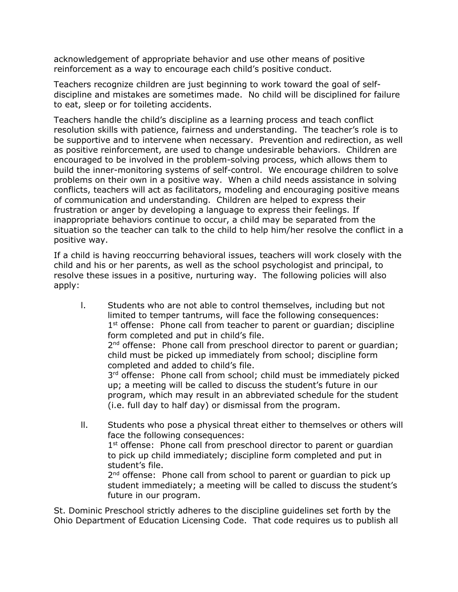acknowledgement of appropriate behavior and use other means of positive reinforcement as a way to encourage each child's positive conduct.

Teachers recognize children are just beginning to work toward the goal of selfdiscipline and mistakes are sometimes made. No child will be disciplined for failure to eat, sleep or for toileting accidents.

Teachers handle the child's discipline as a learning process and teach conflict resolution skills with patience, fairness and understanding. The teacher's role is to be supportive and to intervene when necessary. Prevention and redirection, as well as positive reinforcement, are used to change undesirable behaviors. Children are encouraged to be involved in the problem-solving process, which allows them to build the inner-monitoring systems of self-control. We encourage children to solve problems on their own in a positive way. When a child needs assistance in solving conflicts, teachers will act as facilitators, modeling and encouraging positive means of communication and understanding. Children are helped to express their frustration or anger by developing a language to express their feelings. If inappropriate behaviors continue to occur, a child may be separated from the situation so the teacher can talk to the child to help him/her resolve the conflict in a positive way.

If a child is having reoccurring behavioral issues, teachers will work closely with the child and his or her parents, as well as the school psychologist and principal, to resolve these issues in a positive, nurturing way. The following policies will also apply:

- l. Students who are not able to control themselves, including but not limited to temper tantrums, will face the following consequences: 1<sup>st</sup> offense: Phone call from teacher to parent or guardian; discipline form completed and put in child's file. 2<sup>nd</sup> offense: Phone call from preschool director to parent or guardian; child must be picked up immediately from school; discipline form completed and added to child's file. 3<sup>rd</sup> offense: Phone call from school; child must be immediately picked up; a meeting will be called to discuss the student's future in our program, which may result in an abbreviated schedule for the student (i.e. full day to half day) or dismissal from the program. ll. Students who pose a physical threat either to themselves or others will
	- face the following consequences: 1<sup>st</sup> offense: Phone call from preschool director to parent or guardian to pick up child immediately; discipline form completed and put in student's file. 2<sup>nd</sup> offense: Phone call from school to parent or guardian to pick up

student immediately; a meeting will be called to discuss the student's future in our program.

St. Dominic Preschool strictly adheres to the discipline guidelines set forth by the Ohio Department of Education Licensing Code. That code requires us to publish all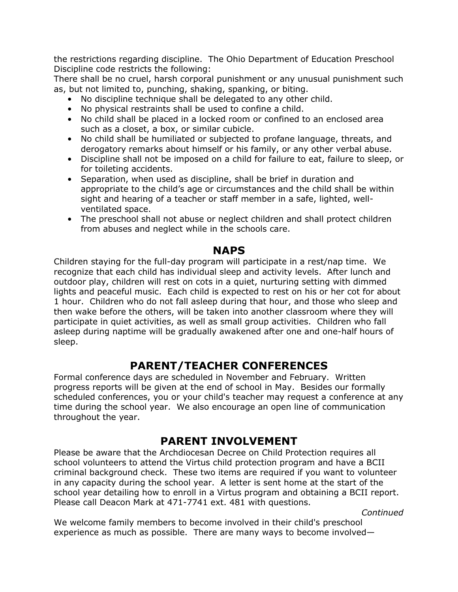the restrictions regarding discipline. The Ohio Department of Education Preschool Discipline code restricts the following:

There shall be no cruel, harsh corporal punishment or any unusual punishment such as, but not limited to, punching, shaking, spanking, or biting.

- No discipline technique shall be delegated to any other child.
- No physical restraints shall be used to confine a child.
- No child shall be placed in a locked room or confined to an enclosed area such as a closet, a box, or similar cubicle.
- No child shall be humiliated or subjected to profane language, threats, and derogatory remarks about himself or his family, or any other verbal abuse.
- Discipline shall not be imposed on a child for failure to eat, failure to sleep, or for toileting accidents.
- Separation, when used as discipline, shall be brief in duration and appropriate to the child's age or circumstances and the child shall be within sight and hearing of a teacher or staff member in a safe, lighted, wellventilated space.
- The preschool shall not abuse or neglect children and shall protect children from abuses and neglect while in the schools care.

### **NAPS**

Children staying for the full-day program will participate in a rest/nap time. We recognize that each child has individual sleep and activity levels. After lunch and outdoor play, children will rest on cots in a quiet, nurturing setting with dimmed lights and peaceful music. Each child is expected to rest on his or her cot for about 1 hour. Children who do not fall asleep during that hour, and those who sleep and then wake before the others, will be taken into another classroom where they will participate in quiet activities, as well as small group activities. Children who fall asleep during naptime will be gradually awakened after one and one-half hours of sleep.

## **PARENT/TEACHER CONFERENCES**

Formal conference days are scheduled in November and February. Written progress reports will be given at the end of school in May. Besides our formally scheduled conferences, you or your child's teacher may request a conference at any time during the school year. We also encourage an open line of communication throughout the year.

## **PARENT INVOLVEMENT**

Please be aware that the Archdiocesan Decree on Child Protection requires all school volunteers to attend the Virtus child protection program and have a BCII criminal background check. These two items are required if you want to volunteer in any capacity during the school year. A letter is sent home at the start of the school year detailing how to enroll in a Virtus program and obtaining a BCII report. Please call Deacon Mark at 471-7741 ext. 481 with questions.

 *Continued*

We welcome family members to become involved in their child's preschool experience as much as possible. There are many ways to become involved